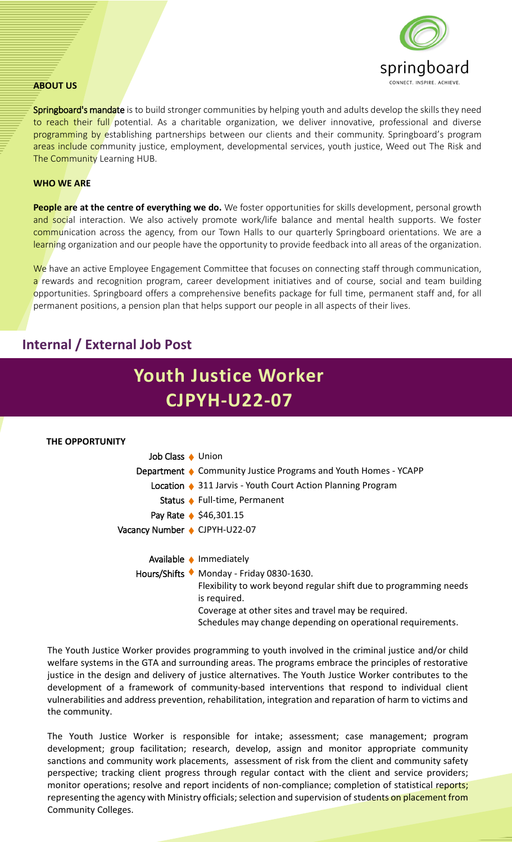

#### **ABOUT US**

Springboard's mandate is to build stronger communities by helping youth and adults develop the skills they need to reach their full potential. As a charitable organization, we deliver innovative, professional and diverse programming by establishing partnerships between our clients and their community. Springboard's program areas include community justice, employment, developmental services, youth justice, Weed out The Risk and The Community Learning HUB.

#### **WHO WE ARE**

**People are at the centre of everything we do.** We foster opportunities for skills development, personal growth and social interaction. We also actively promote work/life balance and mental health supports. We foster communication across the agency, from our Town Halls to our quarterly Springboard orientations. We are a learning organization and our people have the opportunity to provide feedback into all areas of the organization.

We have an active Employee Engagement Committee that focuses on connecting staff through communication, a rewards and recognition program, career development initiatives and of course, social and team building opportunities. Springboard offers a comprehensive benefits package for full time, permanent staff and, for all permanent positions, a pension plan that helps support our people in all aspects of their lives.

# **Internal / External Job Post**



The Youth Justice Worker provides programming to youth involved in the criminal justice and/or child welfare systems in the GTA and surrounding areas. The programs embrace the principles of restorative justice in the design and delivery of justice alternatives. The Youth Justice Worker contributes to the development of a framework of community-based interventions that respond to individual client vulnerabilities and address prevention, rehabilitation, integration and reparation of harm to victims and the community.

The Youth Justice Worker is responsible for intake; assessment; case management; program development; group facilitation; research, develop, assign and monitor appropriate community sanctions and community work placements, assessment of risk from the client and community safety perspective; tracking client progress through regular contact with the client and service providers; monitor operations; resolve and report incidents of non-compliance; completion of statistical reports; representing the agency with Ministry officials; selection and supervision of students on placement from Community Colleges.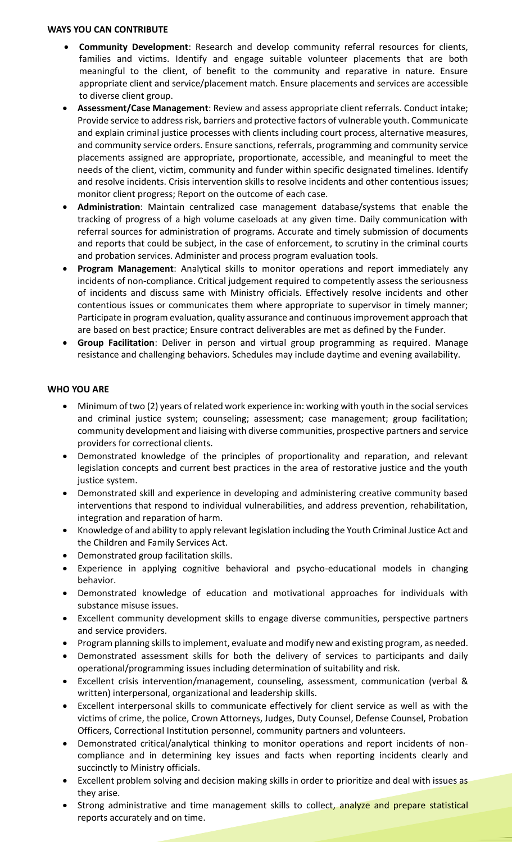### **WAYS YOU CAN CONTRIBUTE**

- **Community Development**: Research and develop community referral resources for clients, families and victims. Identify and engage suitable volunteer placements that are both meaningful to the client, of benefit to the community and reparative in nature. Ensure appropriate client and service/placement match. Ensure placements and services are accessible to diverse client group.
- **Assessment/Case Management**: Review and assess appropriate client referrals. Conduct intake; Provide service to address risk, barriers and protective factors of vulnerable youth. Communicate and explain criminal justice processes with clients including court process, alternative measures, and community service orders. Ensure sanctions, referrals, programming and community service placements assigned are appropriate, proportionate, accessible, and meaningful to meet the needs of the client, victim, community and funder within specific designated timelines. Identify and resolve incidents. Crisis intervention skills to resolve incidents and other contentious issues; monitor client progress; Report on the outcome of each case.
- **Administration**: Maintain centralized case management database/systems that enable the tracking of progress of a high volume caseloads at any given time. Daily communication with referral sources for administration of programs. Accurate and timely submission of documents and reports that could be subject, in the case of enforcement, to scrutiny in the criminal courts and probation services. Administer and process program evaluation tools.
- **Program Management**: Analytical skills to monitor operations and report immediately any incidents of non-compliance. Critical judgement required to competently assess the seriousness of incidents and discuss same with Ministry officials. Effectively resolve incidents and other contentious issues or communicates them where appropriate to supervisor in timely manner; Participate in program evaluation, quality assurance and continuous improvement approach that are based on best practice; Ensure contract deliverables are met as defined by the Funder.
- **Group Facilitation**: Deliver in person and virtual group programming as required. Manage resistance and challenging behaviors. Schedules may include daytime and evening availability.

# **WHO YOU ARE**

- Minimum of two (2) years of related work experience in: working with youth in the social services and criminal justice system; counseling; assessment; case management; group facilitation; community development and liaising with diverse communities, prospective partners and service providers for correctional clients.
- Demonstrated knowledge of the principles of proportionality and reparation, and relevant legislation concepts and current best practices in the area of restorative justice and the youth justice system.
- Demonstrated skill and experience in developing and administering creative community based interventions that respond to individual vulnerabilities, and address prevention, rehabilitation, integration and reparation of harm.
- Knowledge of and ability to apply relevant legislation including the Youth Criminal Justice Act and the Children and Family Services Act.
- Demonstrated group facilitation skills.
- Experience in applying cognitive behavioral and psycho-educational models in changing behavior.
- Demonstrated knowledge of education and motivational approaches for individuals with substance misuse issues.
- Excellent community development skills to engage diverse communities, perspective partners and service providers.
- Program planning skills to implement, evaluate and modify new and existing program, as needed.
- Demonstrated assessment skills for both the delivery of services to participants and daily operational/programming issues including determination of suitability and risk.
- Excellent crisis intervention/management, counseling, assessment, communication (verbal & written) interpersonal, organizational and leadership skills.
- Excellent interpersonal skills to communicate effectively for client service as well as with the victims of crime, the police, Crown Attorneys, Judges, Duty Counsel, Defense Counsel, Probation Officers, Correctional Institution personnel, community partners and volunteers.
- Demonstrated critical/analytical thinking to monitor operations and report incidents of noncompliance and in determining key issues and facts when reporting incidents clearly and succinctly to Ministry officials.
- Excellent problem solving and decision making skills in order to prioritize and deal with issues as they arise.
- Strong administrative and time management skills to collect, analyze and prepare statistical reports accurately and on time.